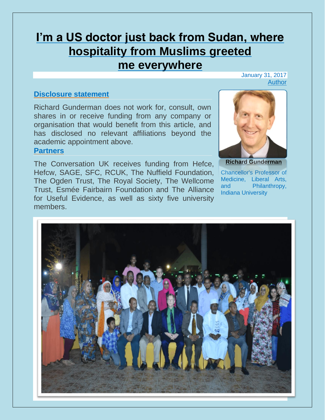# **I'm a US doctor just back from Sudan, where hospitality from Muslims greeted me everywhere**

January 31, 2017 Author

#### **Disclosure statement**

Richard Gunderman does not work for, consult, own shares in or receive funding from any company or organisation that would benefit from this article, and has disclosed no relevant affiliations beyond the academic appointment above.

#### **Partners**

The Conversation UK receives funding from Hefce, Hefcw, SAGE, SFC, RCUK, The Nuffield Foundation, The Ogden Trust, The Royal Society, The Wellcome Trust, Esmée Fairbairn Foundation and The Alliance for Useful Evidence, as well as sixty five university members.



[Chancellor's Professor of](http://theconversation.com/profiles/richard-gunderman-103804)  Medicine, Liberal Arts, and Philanthropy, Indiana University

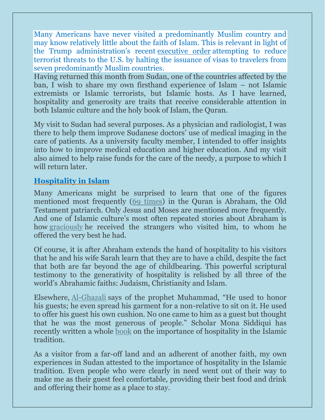Many Americans have never visited a predominantly Muslim country and may know relatively little about the faith of Islam. This is relevant in light of the Trump administration's recent [executive order](http://www.cnn.com/2017/01/28/politics/text-of-trump-executive-order-nation-ban-refugees/index.html) attempting to reduce terrorist threats to the U.S. by halting the issuance of visas to travelers from seven predominantly Muslim countries.

Having returned this month from Sudan, one of the countries affected by the ban, I wish to share my own firsthand experience of Islam – not Islamic extremists or Islamic terrorists, but Islamic hosts. As I have learned, hospitality and generosity are traits that receive considerable attention in both Islamic culture and the holy book of Islam, the Quran.

My visit to Sudan had several purposes. As a physician and radiologist, I was there to help them improve Sudanese doctors' use of medical imaging in the care of patients. As a university faculty member, I intended to offer insights into how to improve medical education and higher education. And my visit also aimed to help raise funds for the care of the needy, a purpose to which I will return later.

## **Hospitality in Islam**

Many Americans might be surprised to learn that one of the figures mentioned most frequently [\(69 times\)](https://en.wikipedia.org/wiki/List_of_people_mentioned_by_name_in_the_Quran) in the Quran is Abraham, the Old Testament patriarch. Only Jesus and Moses are mentioned more frequently. And one of Islamic culture's most often repeated stories about Abraham is how [graciously](https://www.biblegateway.com/passage/?search=Genesis+18) he received the strangers who visited him, to whom he offered the very best he had.

Of course, it is after Abraham extends the hand of hospitality to his visitors that he and his wife Sarah learn that they are to have a child, despite the fact that both are far beyond the age of childbearing. This powerful scriptural testimony to the generativity of hospitality is relished by all three of the world's Abrahamic faiths: Judaism, Christianity and Islam.

Elsewhere, [Al-Ghazali](http://www.sultan.org/books/TheMessageofIslam.pdf) says of the prophet Muhammad, "He used to honor his guests; he even spread his garment for a non-relative to sit on it. He used to offer his guest his own cushion. No one came to him as a guest but thought that he was the most generous of people." Scholar Mona Siddiqui has recently written a whole [book](http://yalebooks.com/book/9780300211863/hospitality-and-islam) on the importance of hospitality in the Islamic tradition.

As a visitor from a far-off land and an adherent of another faith, my own experiences in Sudan attested to the importance of hospitality in the Islamic tradition. Even people who were clearly in need went out of their way to make me as their guest feel comfortable, providing their best food and drink and offering their home as a place to stay.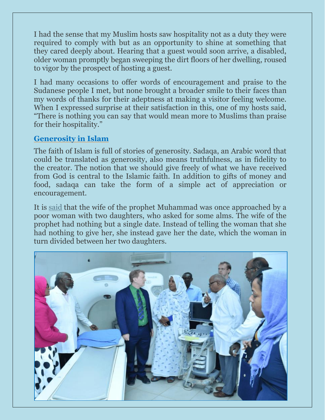I had the sense that my Muslim hosts saw hospitality not as a duty they were required to comply with but as an opportunity to shine at something that they cared deeply about. Hearing that a guest would soon arrive, a disabled, older woman promptly began sweeping the dirt floors of her dwelling, roused to vigor by the prospect of hosting a guest.

I had many occasions to offer words of encouragement and praise to the Sudanese people I met, but none brought a broader smile to their faces than my words of thanks for their adeptness at making a visitor feeling welcome. When I expressed surprise at their satisfaction in this, one of my hosts said, "There is nothing you can say that would mean more to Muslims than praise for their hospitality."

## **Generosity in Islam**

The faith of Islam is full of stories of generosity. Sadaqa, an Arabic word that could be translated as generosity, also means truthfulness, as in fidelity to the creator. The notion that we should give freely of what we have received from God is central to the Islamic faith. In addition to gifts of money and food, sadaqa can take the form of a simple act of appreciation or encouragement.

It is [said](https://www.islamicity.com/mosque/sunnah/bukhari/073.sbt.html) that the wife of the prophet Muhammad was once approached by a poor woman with two daughters, who asked for some alms. The wife of the prophet had nothing but a single date. Instead of telling the woman that she had nothing to give her, she instead gave her the date, which the woman in turn divided between her two daughters.

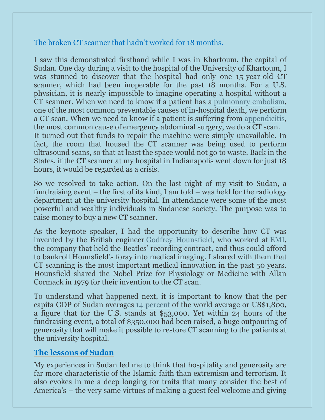The broken CT scanner that hadn't worked for 18 months.

I saw this demonstrated firsthand while I was in Khartoum, the capital of Sudan. One day during a visit to the hospital of the University of Khartoum, I was stunned to discover that the hospital had only one 15-year-old CT scanner, which had been inoperable for the past 18 months. For a U.S. physician, it is nearly impossible to imagine operating a hospital without a CT scanner. When we need to know if a patient has a [pulmonary embolism,](http://www.bmj.com/content/332/7534/156) one of the most common preventable causes of in-hospital death, we perform a CT scan. When we need to know if a patient is suffering from [appendicitis,](http://www.healthline.com/health/appendicitis) the most common cause of emergency abdominal surgery, we do a CT scan. It turned out that funds to repair the machine were simply unavailable. In fact, the room that housed the CT scanner was being used to perform ultrasound scans, so that at least the space would not go to waste. Back in the States, if the CT scanner at my hospital in Indianapolis went down for just 18 hours, it would be regarded as a crisis.

So we resolved to take action. On the last night of my visit to Sudan, a fundraising event – the first of its kind, I am told – was held for the radiology department at the university hospital. In attendance were some of the most powerful and wealthy individuals in Sudanese society. The purpose was to raise money to buy a new CT scanner.

As the keynote speaker, I had the opportunity to describe how CT was invented by the British engineer [Godfrey Hounsfield,](https://www.nobelprize.org/nobel_prizes/medicine/laureates/1979/) who worked at [EMI,](https://www.cnet.com/news/how-the-beatles-funded-the-ct-scan/) the company that held the Beatles' recording contract, and thus could afford to bankroll Hounsfield's foray into medical imaging. I shared with them that CT scanning is the most important medical innovation in the past 50 years. Hounsfield shared the Nobel Prize for Physiology or Medicine with Allan Cormack in 1979 for their invention to the CT scan.

To understand what happened next, it is important to know that the per capita GDP of Sudan averages [14 percent](http://www.tradingeconomics.com/sudan/gdp-per-capita) of the world average or US\$1,800, a figure that for the U.S. stands at \$53,000. Yet within 24 hours of the fundraising event, a total of \$350,000 had been raised, a huge outpouring of generosity that will make it possible to restore CT scanning to the patients at the university hospital.

## **The lessons of Sudan**

My experiences in Sudan led me to think that hospitality and generosity are far more characteristic of the Islamic faith than extremism and terrorism. It also evokes in me a deep longing for traits that many consider the best of America's – the very same virtues of making a guest feel welcome and giving